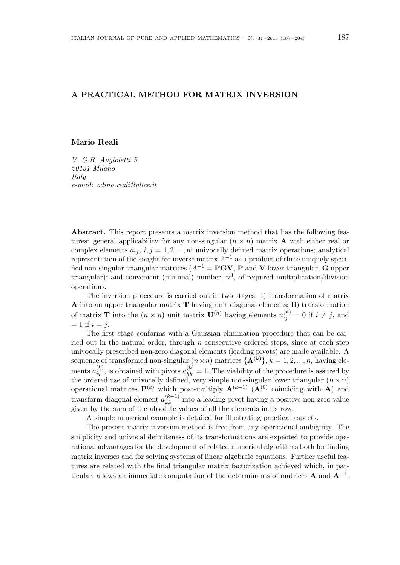#### **A PRACTICAL METHOD FOR MATRIX INVERSION**

#### **Mario Reali**

*V. G.B. Angioletti 5 20151 Milano Italy e-mail: odino.reali@alice.it*

**Abstract.** This report presents a matrix inversion method that has the following features: general applicability for any non-singular  $(n \times n)$  matrix **A** with either real or complex elements  $a_{ij}$ ,  $i, j = 1, 2, \dots, n$ ; univocally defined matrix operations; analytical representation of the sought-for inverse matrix *A−*<sup>1</sup> as a product of three uniquely specified non-singular triangular matrices  $(A^{-1} = \mathbf{PGV}, \mathbf{P}$  and **V** lower triangular, **G** upper triangular); and convenient (minimal) number,  $n^3$ , of required multiplication/division operations.

The inversion procedure is carried out in two stages: I) transformation of matrix **A** into an upper triangular matrix **T** having unit diagonal elements; II) transformation of matrix **T** into the  $(n \times n)$  unit matrix  $\mathbf{U}^{(n)}$  having elements  $u_{ij}^{(n)} = 0$  if  $i \neq j$ , and  $= 1$  if  $i = j$ .

The first stage conforms with a Gaussian elimination procedure that can be carried out in the natural order, through *n* consecutive ordered steps, since at each step univocally prescribed non-zero diagonal elements (leading pivots) are made available. A sequence of transformed non-singular  $(n \times n)$  matrices  $\{A^{(k)}\}, k = 1, 2, ..., n$ , having elements  $a_{ij}^{(k)}$ , is obtained with pivots  $a_{kk}^{(k)} = 1$ . The viability of the procedure is assured by the ordered use of univocally defined, very simple non-singular lower triangular  $(n \times n)$ operational matrices **P**(*k*) which post-multiply **A**(*k−*1) (**A**(0) coinciding with **A**) and transform diagonal element  $a_{kk}^{(k-1)}$  into a leading pivot having a positive non-zero value given by the sum of the absolute values of all the elements in its row.

A simple numerical example is detailed for illustrating practical aspects.

The present matrix inversion method is free from any operational ambiguity. The simplicity and univocal definiteness of its transformations are expected to provide operational advantages for the development of related numerical algorithms both for finding matrix inverses and for solving systems of linear algebraic equations. Further useful features are related with the final triangular matrix factorization achieved which, in particular, allows an immediate computation of the determinants of matrices **A** and **A***−*<sup>1</sup> .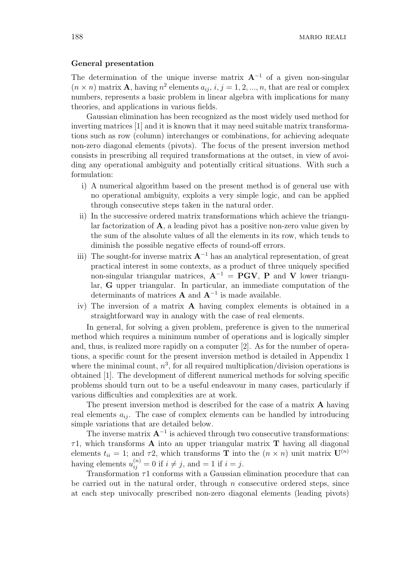#### **General presentation**

The determination of the unique inverse matrix  $A^{-1}$  of a given non-singular  $(n \times n)$  matrix **A**, having  $n^2$  elements  $a_{ij}$ ,  $i, j = 1, 2, ..., n$ , that are real or complex numbers, represents a basic problem in linear algebra with implications for many theories, and applications in various fields.

Gaussian elimination has been recognized as the most widely used method for inverting matrices [1] and it is known that it may need suitable matrix transformations such as row (column) interchanges or combinations, for achieving adequate non-zero diagonal elements (pivots). The focus of the present inversion method consists in prescribing all required transformations at the outset, in view of avoiding any operational ambiguity and potentially critical situations. With such a formulation:

- i) A numerical algorithm based on the present method is of general use with no operational ambiguity, exploits a very simple logic, and can be applied through consecutive steps taken in the natural order.
- ii) In the successive ordered matrix transformations which achieve the triangular factorization of **A**, a leading pivot has a positive non-zero value given by the sum of the absolute values of all the elements in its row, which tends to diminish the possible negative effects of round-off errors.
- iii) The sought-for inverse matrix  $\mathbf{A}^{-1}$  has an analytical representation, of great practical interest in some contexts, as a product of three uniquely specified non-singular triangular matrices,  $\mathbf{A}^{-1} = \mathbf{PGV}, \mathbf{P}$  and **V** lower triangular, **G** upper triangular. In particular, an immediate computation of the determinants of matrices **A** and **A***<sup>−</sup>*<sup>1</sup> is made available.
- iv) The inversion of a matrix **A** having complex elements is obtained in a straightforward way in analogy with the case of real elements.

In general, for solving a given problem, preference is given to the numerical method which requires a minimum number of operations and is logically simpler and, thus, is realized more rapidly on a computer [2]. As for the number of operations, a specific count for the present inversion method is detailed in Appendix 1 where the minimal count,  $n^3$ , for all required multiplication/division operations is obtained [1]. The development of different numerical methods for solving specific problems should turn out to be a useful endeavour in many cases, particularly if various difficulties and complexities are at work.

The present inversion method is described for the case of a matrix **A** having real elements  $a_{ij}$ . The case of complex elements can be handled by introducing simple variations that are detailed below.

The inverse matrix  $\mathbf{A}^{-1}$  is achieved through two consecutive transformations: *τ*1, which transforms **A** into an upper triangular matrix **T** having all diagonal elements  $t_{ii} = 1$ ; and  $\tau$ 2, which transforms **T** into the  $(n \times n)$  unit matrix  $\mathbf{U}^{(n)}$ having elements  $u_{ij}^{(n)} = 0$  if  $i \neq j$ , and  $= 1$  if  $i = j$ .

Transformation *τ*1 conforms with a Gaussian elimination procedure that can be carried out in the natural order, through *n* consecutive ordered steps, since at each step univocally prescribed non-zero diagonal elements (leading pivots)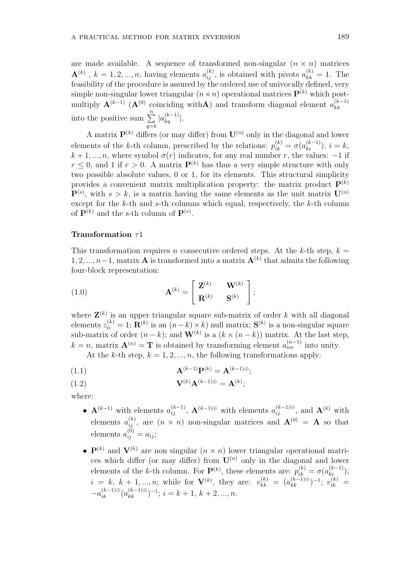are made available. A sequence of transformed non-singular  $(n \times n)$  matrices  $\mathbf{A}^{(k)}$ ,  $k = 1, 2, ..., n$ , having elements  $a_{ij}^{(k)}$ , is obtained with pivots  $a_{kk}^{(k)} = 1$ . The feasibility of the procedure is assured by the ordered use of univocally defined, very simple non-singular lower triangular  $(n \times n)$  operational matrices  $P^{(k)}$  which postmultiply  $\mathbf{A}^{(k-1)}$  ( $\mathbf{A}^{(0)}$  coinciding with **A**) and transform diagonal element  $a_{kk}^{(k-1)}$ *kk* into the positive sum  $\sum_{n=1}^n$ *q*=*k*  $|a_{kq}^{(k-1)}|$ .

A matrix  $\mathbf{P}^{(k)}$  differs (or may differ) from  $\mathbf{U}^{(n)}$  only in the diagonal and lower elements of the *k*-th column, prescribed by the relations:  $p_{ik}^{(k)} = \sigma(a_{ki}^{(k-1)})$ ,  $i = k$ ,  $k + 1, \ldots, n$ , where symbol  $\sigma(r)$  indicates, for any real number *r*, the values: *−*1 if  $r \leq 0$ , and 1 if  $r > 0$ . A matrix  $\mathbf{P}^{(k)}$  has thus a very simple structure with only two possible absolute values, 0 or 1, for its elements. This structural simplicity provides a convenient matrix multiplication property: the matrix product  $\mathbf{P}^{(k)}$  $\mathbf{P}^{(s)}$ , with  $s > k$ , is a matrix having the same elements as the unit matrix  $\mathbf{U}^{(n)}$ except for the *k*-th and *s*-th columns which equal, respectively, the *k*-th column of  $\mathbf{P}^{(k)}$  and the s-th column of  $\mathbf{P}^{(s)}$ .

#### **Transformation** *τ*1

This transformation requires *n* consecutive ordered steps. At the *k*-th step,  $k =$ 1*,* 2*, ..., n−*1, matrix **A** is transformed into a matrix **A**(*k*) that admits the following four-block representation:

(1.0) 
$$
\mathbf{A}^{(k)} = \begin{bmatrix} \mathbf{Z}^{(k)} & \mathbf{W}^{(k)} \\ \mathbf{R}^{(k)} & \mathbf{S}^{(k)} \end{bmatrix};
$$

where  $\mathbf{Z}^{(k)}$  is an upper triangular square sub-matrix of order k with all diagonal  $z_{ii}^{(k)} = 1$ ;  $\mathbf{R}^{(k)}$  is an  $(n-k) \times k$ ) null matrix;  $\mathbf{S}^{(k)}$  is a non-singular square sub-matrix of order  $(n-k)$ ; and  $\mathbf{W}^{(k)}$  is a  $(k \times (n-k))$  matrix. At the last step,  $k = n$ , matrix  $\mathbf{A}^{(n)} = \mathbf{T}$  is obtained by transforming element  $a_{nn}^{(n-1)}$  into unity.

At the *k*-th step,  $k = 1, 2, ..., n$ , the following transformations apply:

$$
\mathbf{A}^{(k-1)}\mathbf{P}^{(k)} = \mathbf{A}^{(k-1)\oplus};
$$

$$
\mathbf{V}^{(k)}\mathbf{A}^{(k-1)\oplus} = \mathbf{A}^{(k)};
$$

where:

- *•*  $\mathbf{A}^{(k-1)}$  with elements  $a_{ij}^{(k-1)}$ ,  $\mathbf{A}^{(k-1)\oplus}$  with elements  $a_{ij}^{(k-1)\oplus}$ , and  $\mathbf{A}^{(k)}$  with elements  $a_{ij}^{(k)}$ , are  $(n \times n)$  non-singular matrices and  $\mathbf{A}^{(0)} = \mathbf{A}$  so that  $\text{elements } a_{ij}^{(0)} = a_{ij};$
- $P^{(k)}$  and  $V^{(k)}$  are non singular  $(n \times n)$  lower triangular operational matrices which differ (or may differ) from  $\mathbf{U}^{(n)}$  only in the diagonal and lower elements of the *k*-th column. For  $\mathbf{P}^{(k)}$ , these elements are:  $p_{ik}^{(k)} = \sigma(a_{ki}^{(k-1)})$ ;  $i = k, k + 1, ..., n$ ; while for **V**<sup>(*k*)</sup>, they are:  $v_{kk}^{(k)} = (a_{kk}^{(k-1)\oplus})^{-1}$ ;  $v_{ik}^{(k)} =$  $-a_{ik}^{(k-1)\oplus}(a_{kk}^{(k-1)\oplus})^{-1}$ ;  $i = k + 1, k + 2, ..., n$ .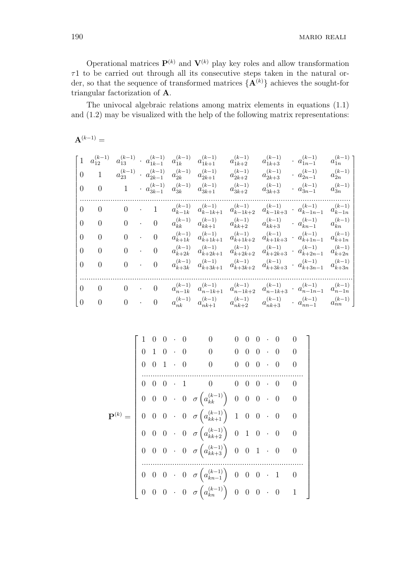(*k−*1) 1*n*

1 j.  $\mathbf{I}$  $\overline{1}$  $\mathbf{I}$  $\mathbf{I}$ 

(*k−*1) 2*n*

Operational matrices  $\mathbf{P}^{(k)}$  and  $\mathbf{V}^{(k)}$  play key roles and allow transformation *τ*1 to be carried out through all its consecutive steps taken in the natural order, so that the sequence of transformed matrices  $\{A^{(k)}\}$  achieves the sought-for triangular factorization of **A**.

The univocal algebraic relations among matrix elements in equations (1.1) and (1.2) may be visualized with the help of the following matrix representations:

 ${\bf A}^{(k-1)} =$  $\Gamma$   $\overline{1}$  $\mathbf{I}$  $\mathbf{I}$  $\mathbf{I}$  $\overline{1}$  $\mathbf{I}$  $\mathbf{I}$  $\mathbf{I}$  $\overline{1}$  $\mathbf{I}$ 1  $a_{12}^{(k-1)}$   $a_{13}^{(k-1)}$  ·  $a_{1k-1}^{(k-1)}$  $\begin{array}{cc} (k-1) & a(k-1) \\ 1k-1 & a_{1k} \end{array}$  $a_{1k+1}^{(k-1)}$   $a_{1k+2}^{(k-1)}$   $a_{1k+3}^{(k-1)}$   $a_{1n-1}^{(k-1)}$   $a_{1n-1}$ 0 1  $a_{23}^{(k-1)} \cdot a_{2k-1}^{(k-1)}$  $a_{2k-1}^{(k-1)}$   $a_{2k}^{(k-1)}$  $a_{2k+1}^{(k-1)}$   $a_{2k+2}^{(k-1)}$   $a_{2k+3}^{(k-1)}$   $a_{2n-1}^{(k-1)}$  *a* 0 0 1 *· a* 3*k−*1 *a* 3*k a* 0 0 0 *·* 1 *a* (*k−*1) *k−*1*k a* (*k−*1)

| $\overline{0}$  | $\overline{0}$ |                |           |                |                    | $a_{3k-1}^{(k-1)}$ $a_{3k}^{(k-1)}$ $a_{3k+1}^{(k-1)}$        | $a_{3k+2}^{(k-1)}$   | $a_{3k+3}^{(k-1)}$   | $a_{3n-1}^{(k-1)}$                                                                              | $a_{3n}^{\left(k-1\right)}$ |
|-----------------|----------------|----------------|-----------|----------------|--------------------|---------------------------------------------------------------|----------------------|----------------------|-------------------------------------------------------------------------------------------------|-----------------------------|
| $\Omega$        | $\overline{0}$ | $\overline{0}$ | $\bullet$ | $\mathbf{1}$   | $a_{k-1k}^{(k-1)}$ | $a_{k-1k+1}^{(k-1)}$                                          |                      |                      | $a_{k-1 k+2}^{(k-1)} \quad a_{k-1 k+3}^{(k-1)} \quad a_{k-1 n-1}^{(k-1)}$                       | $a_{k-1n}^{(k-1)}$          |
| $\theta$        | $\overline{0}$ | $\overline{0}$ | $\bullet$ | $\overline{0}$ |                    | $a_{kk}^{(k-1)}$ $a_{kk+1}^{(k-1)}$                           | $a_{kk+2}^{(k-1)}$   | $a_{kk+3}^{(k-1)}$   | $a_{kn-1}^{(k-1)}$                                                                              | $(k-1)$<br>$a_{\grave{k}n}$ |
| $\overline{0}$  | $\overline{0}$ | $\theta$       | $\bullet$ | $\overline{0}$ | $a_{k+1k}^{(k-1)}$ | $a_{k+1k+1}^{(k-1)} \quad a_{k+1k+2}^{(k-1)}$<br>$a_{k+1k+1}$ |                      | $a_{k+1k+3}^{(k-1)}$ | $a_{k+1n-1}^{(k-1)}$                                                                            | $(k-1)$<br>$a_{k+1n}$       |
| $\overline{0}$  | $\theta$       | $\theta$       | $\bullet$ | $\overline{0}$ | $a_{k+2k}^{(k-1)}$ | $(k-1)$<br>$a_{k+2k+1}$                                       | $a_{k+2k+2}^{(k-1)}$ |                      | $a_{k+2k+3}^{(k-1)} \cdot a_{k+2n-1}^{(k-1)}$                                                   | $(k-1)$<br>$a_{k+2n}$       |
| $\theta$        | $\overline{0}$ | $\overline{0}$ | $\bullet$ | $\theta$       | $a_{k+3k}^{(k-1)}$ | $a_{k+3k+1}$                                                  |                      |                      | $a_{k+3k+1}^{(k-1)} \quad a_{k+3k+2}^{(k-1)} \quad a_{k+3k+3}^{(k-1)} \quad a_{k+3n-1}^{(k-1)}$ | $(k-1)$<br>$a_{k+3n}$       |
| $\Omega$        | $\overline{0}$ | $\overline{0}$ | $\bullet$ | $\overline{0}$ | $a_{n-1k}^{(k-1)}$ | $a_{n-1k+1}^{(k-1)}$ $a_{n-1k+2}^{(k-1)}$                     |                      |                      | $a_{n-1k+3}^{(k-1)} \cdot a_{n-1n-1}^{(k-1)}$                                                   | $a_{n-1n}^{(k-1)}$          |
| $\vert 0 \vert$ | $\overline{0}$ | $\overline{0}$ | $\bullet$ | $\theta$       |                    | $a_{nk}^{(k-1)}$ $a_{nk+1}^{(k-1)}$                           | $a_{nk+2}^{(k-1)}$   |                      | $a_{nk+3}^{(k-1)}$ $a_{nn-1}^{(k-1)}$                                                           | $a_{nn}^{(k-1)}$            |

|  |                                                                                    |  |                                                                                                                                            | $\overline{0}$ |  | $0 \cdot 0$ 0                                                |                |  |
|--|------------------------------------------------------------------------------------|--|--------------------------------------------------------------------------------------------------------------------------------------------|----------------|--|--------------------------------------------------------------|----------------|--|
|  | $\begin{array}{cccccc} 1 & 0 & 0 & \cdot & 0 \\ 0 & 1 & 0 & \cdot & 0 \end{array}$ |  | $\begin{array}{c} 0 \\ 0 \\ 0 \end{array}$                                                                                                 | $\overline{0}$ |  | $\begin{array}{ccccccccc} 0 & 0 & \cdot & 0 & 0 \end{array}$ |                |  |
|  | $0\quad 0\quad 1\quad \cdot\quad 0$                                                |  |                                                                                                                                            |                |  | $0\quad 0\quad 0\quad \cdot\quad 0\qquad 0$                  |                |  |
|  |                                                                                    |  | $\begin{array}{cccccccccccccc} 0 & 0 & 0 & 1 & 0 & 0 & 0 & 0 & 0 & 0 \end{array}$                                                          |                |  |                                                              |                |  |
|  |                                                                                    |  | $\begin{array}{ccccccccc} 0 & 0 & 0 & \cdot & 0 & \sigma\left(a_{kk}^{(k-1)}\right) & 0 & 0 & 0 & \cdot & 0 & 0 \end{array}$               |                |  |                                                              |                |  |
|  |                                                                                    |  | $\mathbf{P}^{(k)} = \begin{bmatrix} 0 & 0 & 0 & \cdot & 0 & \sigma\left(a_{kk+1}^{(k-1)}\right) & 1 & 0 & 0 & \cdot & 0 & 0 \end{bmatrix}$ |                |  |                                                              |                |  |
|  |                                                                                    |  | $\begin{array}{ccccccccc} 0 & 0 & 0 & \cdot & 0 & \sigma\left(a_{kk+2}^{(k-1)}\right) & 0 & 1 & 0 & \cdot & 0 & 0 \end{array}$             |                |  |                                                              |                |  |
|  |                                                                                    |  | $0 \quad 0 \quad 0 \quad 0 \quad 0 \quad \sigma\left(a_{kk+3}^{(k-1)}\right) \quad 0 \quad 0 \quad 1 \quad 0$                              |                |  |                                                              | $\overline{0}$ |  |
|  |                                                                                    |  | $0\quad 0\quad 0\quad \cdot\quad 0\quad \sigma\left(a_{kn-1}^{(k-1)}\right)\quad 0\quad 0\quad 0\quad \cdot\quad 1\qquad 0$                |                |  |                                                              |                |  |
|  |                                                                                    |  | $\begin{bmatrix} 0 & 0 & 0 & \cdot & 0 & \sigma\left(a_{kn}^{(k-1)}\right) & 0 & 0 & 0 & \cdot & 0 & 1 \end{bmatrix}$                      |                |  |                                                              |                |  |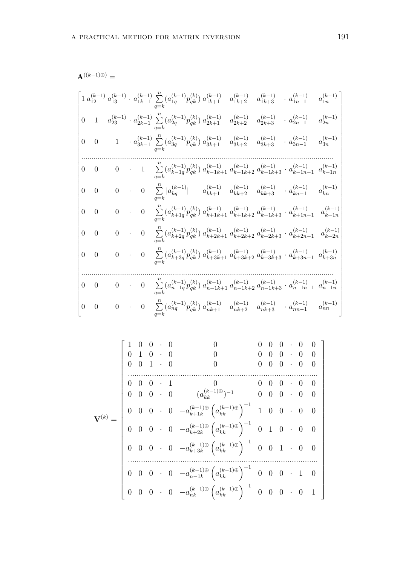$$
\mathbf{A}^{((k-1)\oplus)}=
$$

$$
\begin{bmatrix} 1 \ a_{12}^{(k-1)} \ a_{13}^{(k-1)} \cdot a_{1k-1}^{(k-1)} \sum\limits_{q=k}^{n} (a_{1q}^{(k-1)} p_{qk}^{(k)}) \ a_{1k+1}^{(k-1)} & a_{1k+2}^{(k-1)} \ a_{1k+3}^{(k-1)} \cdot a_{1n-1}^{(k-1)} \ a_{1n}^{(k-1)} \\ 0 & 1 \quad a_{23}^{(k-1)} \cdot a_{2k-1}^{(k-1)} \sum\limits_{q=k}^{n} (a_{2q}^{(k-1)} p_{qk}^{(k)}) \ a_{2k+1}^{(k-1)} & a_{2k+2}^{(k-1)} \quad a_{2k+3}^{(k-1)} \cdot a_{2n-1}^{(k-1)} & a_{2n}^{(k-1)} \\ 0 & 0 & 1 \quad a_{3k-1}^{(k-1)} \sum\limits_{q=k}^{n} (a_{3q}^{(k-1)} p_{qk}^{(k)}) \ a_{3k+1}^{(k-1)} & a_{3k+2}^{(k-1)} \quad a_{3k+3}^{(k-1)} \cdot a_{3n-1}^{(k-1)} & a_{3n}^{(k-1)} \\ 0 & 0 & 0 & 1 \quad \sum\limits_{q=k}^{n} (a_{k-1q}^{(k-1)} p_{qk}^{(k)}) \ a_{k-1k+1}^{(k-1)} \ a_{k-1k+2}^{(k-1)} \ a_{k-1k+3}^{(k-1)} \cdot a_{k-1n-1}^{(k-1)} \ a_{kn}^{(k-1)} \\ 0 & 0 & 0 & 0 \quad \sum\limits_{q=k}^{n} |a_{kq}^{(k-1)}| & a_{kk+1}^{(k-1)} \ a_{kk+2}^{(k-1)} \ a_{kk+3}^{(k-1)} \cdot a_{kn-1}^{(k-1)} & a_{kn}^{(k-1)} \\ 0 & 0 & 0 & 0 \quad \sum\limits_{q=k}^{n} (a_{k+1q}^{(k-1)} p_{qk}^{(k)}) \ a_{k+1k+1}^{(k-1)} \ a_{k+2k+2}^{(k-1)} \ a_{k+2k+3}^{(k-1)} \cdot a_{k+2n-1}^{(k-1)} & a_{k+
$$

**V**(*k*) = 1 0 0 *·* 0 0 0 0 0 *·* 0 0 0 1 0 *·* 0 0 0 0 0 *·* 0 0 0 0 1 *·* 0 0 0 0 0 *·* 0 0 *.......................................................................................* 0 0 0 *·* 1 0 0 0 0 *·* 0 0 0 0 0 *·* 0 (*a* (*k−*1)*⊕ kk* ) *<sup>−</sup>*<sup>1</sup> 0 0 0 *·* 0 0 0 0 0 *·* 0 *−a* (*k−*1)*⊕ k*+1*k* ( *a* (*k−*1)*⊕ kk* )*<sup>−</sup>*<sup>1</sup> 1 0 0 *·* 0 0 0 0 0 *·* 0 *−a* (*k−*1)*⊕ k*+2*k* ( *a* (*k−*1)*⊕ kk* )*<sup>−</sup>*<sup>1</sup> 0 1 0 *·* 0 0 0 0 0 *·* 0 *−a* (*k−*1)*⊕ k*+3*k* ( *a* (*k−*1)*⊕ kk* )*<sup>−</sup>*<sup>1</sup> 0 0 1 *·* 0 0 *.......................................................................................* 0 0 0 *·* 0 *−a* (*k−*1)*⊕ n−*1*k* ( *a* (*k−*1)*⊕ kk* )*<sup>−</sup>*<sup>1</sup> 0 0 0 *·* 1 0 0 0 0 *·* 0 *−a* (*k−*1)*⊕ nk* ( *a* (*k−*1)*⊕ kk* )*<sup>−</sup>*<sup>1</sup> 0 0 0 *·* 0 1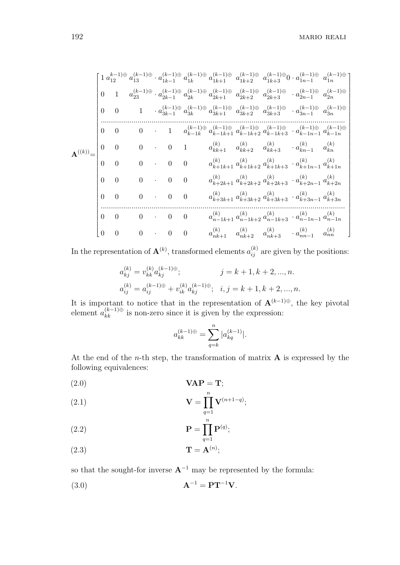$$
\mathbf{A}^{(k)}(\textbf{k}) = \begin{bmatrix} 1 \, a_{12}^{k-1) \oplus} \, a_{18}^{(k-1) \oplus} \, a_{1k-1}^{(k-1) \oplus} \, a_{1k+1}^{(k-1) \oplus} \, a_{1k+2}^{(k-1) \oplus} \, a_{1k+3}^{(k-1) \oplus} \, a_{1n-1}^{(k-1) \oplus} \, a_{1n}^{(k-1) \oplus} \, a_{1n}^{(k-1) \oplus} \, a_{2k-1}^{(k-1) \oplus} \, a_{2k+1}^{(k-1) \oplus} \, a_{2k+2}^{(k-1) \oplus} \, a_{2k+3}^{(k-1) \oplus} \, a_{2n-1}^{(k-1) \oplus} \, a_{2n}^{(k-1) \oplus} \\ 0 & 0 & 1 & a_{3k-1}^{(k-1) \oplus} \, a_{3k}^{(k-1) \oplus} \, a_{3k+1}^{(k-1) \oplus} \, a_{3k+2}^{(k-1) \oplus} \, a_{3k+3}^{(k-1) \oplus} \, a_{3n-1}^{(k-1) \oplus} \, a_{3n}^{(k-1) \oplus} \\ 0 & 0 & 0 & 1 & a_{k-1k}^{(k-1) \oplus} \, a_{k-1k+2}^{(k-1) \oplus} \, a_{k-1k+3}^{(k-1) \oplus} \, a_{k-1n-1}^{(k-1) \oplus} \, a_{k-1n}^{(k-1) \oplus} \\ 0 & 0 & 0 & 0 & a_{k+1k+1}^{(k)} \, a_{kk+2}^{(k)} \, a_{kk+3}^{(k)} \, a_{k+1n-1}^{(k)} \, a_{k}^{(k)} \\ 0 & 0 & 0 & 0 & a_{k+1k+1}^{(k)} \, a_{k+2k+2}^{(k)} \, a_{k+2k+3}^{(k)} \, a_{k+1n-1}^{(k)} \, a_{k+2n}^{(k)} \\ 0 & 0 & 0 & 0 & a_{k+2k+1}^{(k)} \, a_{k+2k+2}^{(k)} \, a_{k+2k+3}
$$

In the representation of  $\mathbf{A}^{(k)}$ , transformed elements  $a_{ij}^{(k)}$  are given by the positions:

$$
\begin{aligned} a_{kj}^{(k)} &= v_{kk}^{(k)}a_{kj}^{(k-1)\oplus}; \qquad & j = k+1, k+2, ..., n. \\ a_{ij}^{(k)} &= a_{ij}^{(k-1)\oplus} + v_{ik}^{(k)}a_{kj}^{(k-1)\oplus}; \ \ i,j = k+1, k+2, ..., n. \end{aligned}
$$

It is important to notice that in the representation of  $\mathbf{A}^{(k-1)\oplus}$ , the key pivotal element  $a_{kk}^{(k-1)\oplus}$  is non-zero since it is given by the expression:

$$
a_{kk}^{(k-1)\oplus} = \sum_{q=k}^{n} |a_{kq}^{(k-1)}|.
$$

At the end of the *n*-th step, the transformation of matrix **A** is expressed by the following equivalences:

(2*.*0) **VAP** = **T**;

$$
\mathbf{V} = \prod_{q=1}^{n} \mathbf{V}^{(n+1-q)};
$$

(2.2) 
$$
\mathbf{P} = \prod_{q=1}^{n} \mathbf{P}^{(q)};
$$

(2*.*3) **T** = **A**(*n*) ;

so that the sought-for inverse  $\mathbf{A}^{-1}$  may be represented by the formula:

$$
\mathbf{A}^{-1} = \mathbf{P}\mathbf{T}^{-1}\mathbf{V}.
$$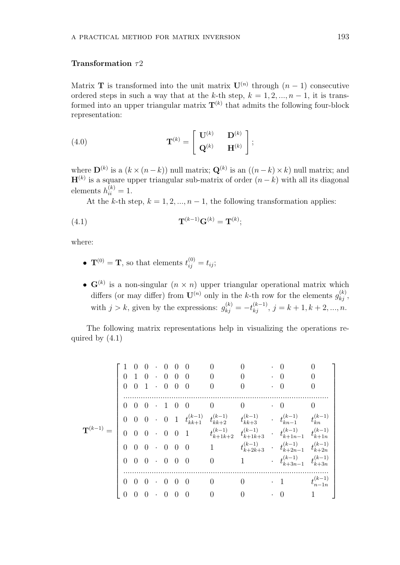#### **Transformation** *τ*2

Matrix **T** is transformed into the unit matrix  $\mathbf{U}^{(n)}$  through  $(n-1)$  consecutive ordered steps in such a way that at the *k*-th step,  $k = 1, 2, ..., n - 1$ , it is transformed into an upper triangular matrix  $T^{(k)}$  that admits the following four-block representation:

(4.0) 
$$
\mathbf{T}^{(k)} = \begin{bmatrix} \mathbf{U}^{(k)} & \mathbf{D}^{(k)} \\ \mathbf{Q}^{(k)} & \mathbf{H}^{(k)} \end{bmatrix};
$$

where  $\mathbf{D}^{(k)}$  is a  $(k \times (n-k))$  null matrix;  $\mathbf{Q}^{(k)}$  is an  $((n-k) \times k)$  null matrix; and **H**(*k*) is a square upper triangular sub-matrix of order (*n − k*) with all its diagonal elements  $h_{ii}^{(k)} = 1$ .

At the *k*-th step,  $k = 1, 2, ..., n - 1$ , the following transformation applies:

$$
\mathbf{T}^{(k-1)}\mathbf{G}^{(k)} = \mathbf{T}^{(k)};
$$

where:

- $\mathbf{T}^{(0)} = \mathbf{T}$ , so that elements  $t_{ij}^{(0)} = t_{ij}$ ;
- $\mathbf{G}^{(k)}$  is a non-singular  $(n \times n)$  upper triangular operational matrix which differs (or may differ) from  $\mathbf{U}^{(n)}$  only in the *k*-th row for the elements  $g_{kj}^{(k)}$ , with  $j > k$ , given by the expressions:  $g_{kj}^{(k)} = -t_{kj}^{(k-1)}$ ,  $j = k + 1, k + 2, ..., n$ .

The following matrix representations help in visualizing the operations required by (4.1)

|                       | $\Omega$       |                   | $\left( \right)$<br>$0 \t1 \t0 \t0 \t0 \t0$<br>$0 \quad 1 \quad 0 \quad 0 \quad 0$ | $\cdot$ 0 0 |                | - ()           | $\left( \right)$<br>$\theta$<br>$\theta$ |                | $\left( \right)$<br>$\overline{0}$<br>$\Omega$                                                                                                                  |                    |
|-----------------------|----------------|-------------------|------------------------------------------------------------------------------------|-------------|----------------|----------------|------------------------------------------|----------------|-----------------------------------------------------------------------------------------------------------------------------------------------------------------|--------------------|
|                       |                | $0\quad 0\quad 0$ |                                                                                    | $\cdot$ 1 0 |                | $\overline{0}$ | $\overline{0}$                           | $\overline{0}$ | $\cdot$ 0                                                                                                                                                       | $\Omega$           |
|                       |                |                   |                                                                                    |             |                |                |                                          |                | $\begin{array}{cccccccccc} 0 & 0 & 0 & 0 & 1 & t_{kk+1}^{(k-1)} & t_{kk+2}^{(k-1)} & t_{kk+3}^{(k-1)} & \cdots & t_{kn-1}^{(k-1)} & t_{kn}^{(k-1)} \end{array}$ |                    |
| $\mathbf{T}^{(k-1)}=$ | $\overline{0}$ |                   |                                                                                    |             |                |                |                                          |                | $\begin{array}{ccccccccc} 0 & 0 & \cdot & 0 & 0 & 1 & & & t_{k+1k+2}^{(k-1)} & t_{k+1k+3}^{(k-1)} & \cdot & t_{k+1n-1}^{(k-1)} & t_{k+1n}^{(k-1)} \end{array}$  |                    |
|                       |                |                   | $0\quad 0\quad 0\quad 0\quad 0\quad 0$                                             |             |                |                | 1                                        |                | $t_{k+2k+3}^{(k-1)} \quad \cdot \quad t_{k+2n-1}^{(k-1)} \quad t_{k+2n}^{(k-1)}$                                                                                |                    |
|                       | $\overline{0}$ |                   | $0\quad 0\quad 0\quad 0\quad 0$                                                    |             |                |                | $\overline{0}$                           | $\mathbf{1}$   | $\cdot$ $t_{k+3n-1}^{(k-1)}$ $t_{k+3n}^{(k-1)}$                                                                                                                 |                    |
|                       |                |                   |                                                                                    |             |                |                |                                          |                |                                                                                                                                                                 |                    |
|                       |                |                   | $0 \t 0 \t 0 \t 0 \t 0 \t 0$                                                       |             |                |                | $\overline{0}$                           | $\Omega$       | $\cdot$ 1                                                                                                                                                       | $t_{n-1n}^{(k-1)}$ |
|                       | $\theta$       | $\overline{0}$    | $\overline{0}$                                                                     | $\cdot$ 0   | $\overline{0}$ | $\overline{0}$ | $\overline{0}$                           |                | $\Omega$                                                                                                                                                        |                    |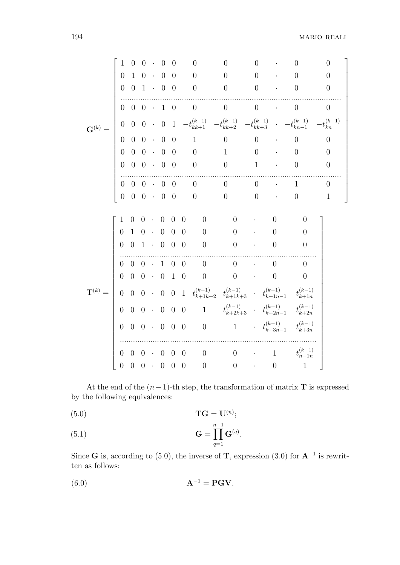|                    | 1                | $\overline{0}$                                                                                                           | $\overline{0}$               |           | $\overline{0}$                                | $\overline{0}$                       |                          | $\overline{0}$           | $\overline{0}$                                                                                          | $\overline{0}$   |                             | 0                  | $\overline{0}$    |
|--------------------|------------------|--------------------------------------------------------------------------------------------------------------------------|------------------------------|-----------|-----------------------------------------------|--------------------------------------|--------------------------|--------------------------|---------------------------------------------------------------------------------------------------------|------------------|-----------------------------|--------------------|-------------------|
|                    | $\overline{0}$   | $\mathbf{1}$                                                                                                             | $\boldsymbol{0}$             | $\cdot$ 0 |                                               | $\overline{0}$                       |                          | $\boldsymbol{0}$         | $\overline{0}$                                                                                          | $\overline{0}$   |                             | $\left( \right)$   | $\overline{0}$    |
|                    | $\overline{0}$   | $\overline{0}$                                                                                                           | $\mathbf{1}$                 | $\cdot$ 0 |                                               | $\overline{0}$                       |                          | $\boldsymbol{0}$         | $\theta$                                                                                                | $\overline{0}$   |                             | $\overline{0}$     | $\overline{0}$    |
|                    | $\overline{0}$   | $\overline{0}$                                                                                                           | $0 \cdot 1$                  |           |                                               | $\overline{0}$                       | $\overline{\phantom{0}}$ |                          | $\boldsymbol{0}$                                                                                        | $\boldsymbol{0}$ | $\sim 100$ $\mu$            | $\overline{0}$     | $\theta$          |
| $\mathbf{G}^{(k)}$ | $\boldsymbol{0}$ | $\begin{array}{cccc} 0 & 0 & \cdot & 0 \\ & 0 & 0 & \cdot & 0 \\ & 0 & 0 & \cdot & 0 \\ & 0 & 0 & \cdot & 0 \end{array}$ |                              |           |                                               | $\,$ 1                               |                          |                          | $-t_{kk+1}^{(k-1)} \quad -t_{kk+2}^{(k-1)} \quad -t_{kk+3}^{(k-1)} \quad \cdot \quad -t_{kn-1}^{(k-1)}$ |                  |                             |                    | $-t_{kn}^{(k-1)}$ |
|                    | $\overline{0}$   |                                                                                                                          |                              |           |                                               | $\theta$                             |                          | $\overline{1}$           | $\overline{0}$                                                                                          | $\theta$         | $\mathcal{L}_{\mathcal{A}}$ | $\overline{0}$     | $\overline{0}$    |
|                    |                  |                                                                                                                          |                              |           |                                               | $\begin{matrix} 0 \\ 0 \end{matrix}$ |                          | $\boldsymbol{0}$         | $\mathbf{1}$                                                                                            | $\boldsymbol{0}$ |                             | $\overline{0}$     | $\boldsymbol{0}$  |
|                    | $\overline{0}$   |                                                                                                                          |                              |           |                                               |                                      |                          | $\boldsymbol{0}$         | $\boldsymbol{0}$                                                                                        | $\mathbf{1}$     | $\sim 100$                  | $\overline{0}$     | $\boldsymbol{0}$  |
|                    | $\overline{0}$   | $\overline{0}$                                                                                                           |                              |           | $\begin{bmatrix} 0 & \cdot & 0 \end{bmatrix}$ | $\overline{0}$                       |                          | $\overline{0}$           | $\boldsymbol{0}$                                                                                        | $\boldsymbol{0}$ |                             | $\mathbf{1}$       | $\theta$          |
|                    | $\overline{0}$   | $\overline{0}$                                                                                                           | $\overline{0}$               |           | $\overline{0}$                                | $\overline{0}$                       |                          | $\overline{0}$           | $\theta$                                                                                                | $\overline{0}$   |                             | $\overline{0}$     | $1\,$             |
|                    | $\mathbf{1}$     | $\theta$                                                                                                                 |                              |           | $\overline{0}$                                | $\theta$                             | $\theta$                 | $\theta$                 | $\theta$                                                                                                |                  | $\Omega$                    | $\theta$           |                   |
|                    | $\overline{0}$   | $\mathbf{1}$                                                                                                             | $\theta$<br>$\boldsymbol{0}$ |           | $\boldsymbol{0}$                              | $\boldsymbol{0}$                     | $\theta$                 | $\overline{0}$           | $\boldsymbol{0}$                                                                                        |                  | $\overline{0}$              | $\overline{0}$     |                   |
|                    | $\overline{0}$   | $\overline{0}$                                                                                                           | $1 \cdot 0$                  |           |                                               | $\overline{0}$                       | $\theta$                 | $\overline{\phantom{0}}$ | $\overline{0}$                                                                                          |                  | $\theta$                    | $\theta$           |                   |
|                    |                  |                                                                                                                          |                              |           |                                               |                                      |                          |                          |                                                                                                         |                  |                             |                    |                   |
|                    | $\overline{0}$   | $0 \quad 0 \quad \cdot \quad 1 \quad 0$                                                                                  |                              |           |                                               |                                      | $\overline{0}$           | $\overline{0}$           | $\overline{0}$                                                                                          |                  | $\overline{0}$              | $\theta$           |                   |
|                    | $\overline{0}$   | $\boldsymbol{0}$                                                                                                         | $0 \cdot 0$                  |           |                                               | $\mathbf{1}$                         | $\boldsymbol{0}$         | $\boldsymbol{0}$         | $\boldsymbol{0}$                                                                                        |                  | $\overline{0}$              | $\overline{0}$     |                   |
| $\mathbf{T}^{(k)}$ | $\overline{0}$   |                                                                                                                          |                              |           |                                               |                                      |                          |                          |                                                                                                         |                  |                             | $t_{k+1n}^{(k-1)}$ |                   |
|                    | $\overline{0}$   |                                                                                                                          |                              |           |                                               |                                      |                          |                          | 1 $t_{k+2k+3}^{(k-1)}$ $\cdot$ $t_{k+2n-1}^{(k-1)}$                                                     |                  |                             | $t_{k+2n}^{(k-1)}$ |                   |
|                    | $\overline{0}$   |                                                                                                                          |                              |           |                                               |                                      |                          |                          | 1 $t_{k+3n-1}^{(k-1)}$ $t_{k+3n}^{(k-1)}$                                                               |                  |                             |                    |                   |
|                    |                  |                                                                                                                          |                              |           |                                               |                                      |                          |                          |                                                                                                         |                  |                             |                    |                   |
|                    | $\overline{0}$   | $\overline{0}$                                                                                                           | $0 \cdot 0$                  |           |                                               | $\overline{0}$                       | $\overline{0}$           | $\overline{0}$           | $\theta$                                                                                                | $\sim 10^{-10}$  | $\mathbf{1}$                | $t_{n-1n}^{(k-1)}$ |                   |
|                    | $\overline{0}$   | $\boldsymbol{0}$                                                                                                         | $0 \cdot 0$                  |           |                                               | $\overline{0}$                       | $\overline{0}$           | $\boldsymbol{0}$         | $\boldsymbol{0}$                                                                                        |                  | $\overline{0}$              | $\mathbf{1}$       |                   |

At the end of the (*n−*1)-th step, the transformation of matrix **T** is expressed by the following equivalences:

$$
TG = U^{(n)};
$$

$$
\mathbf{G} = \prod_{q=1}^{n-1} \mathbf{G}^{(q)}.
$$

Since **G** is, according to (5.0), the inverse of **T**, expression (3.0) for **A***<sup>−</sup>*<sup>1</sup> is rewritten as follows:

$$
\mathbf{A}^{-1} = \mathbf{P}\mathbf{G}\mathbf{V}.
$$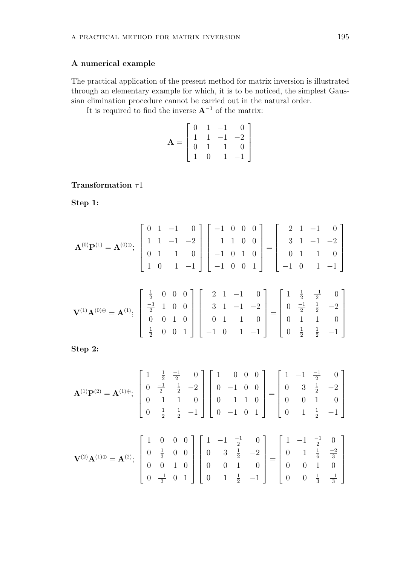## **A numerical example**

The practical application of the present method for matrix inversion is illustrated through an elementary example for which, it is to be noticed, the simplest Gaussian elimination procedure cannot be carried out in the natural order.

It is required to find the inverse **A***<sup>−</sup>*<sup>1</sup> of the matrix:

$$
\mathbf{A} = \begin{bmatrix} 0 & 1 & -1 & 0 \\ 1 & 1 & -1 & -2 \\ 0 & 1 & 1 & 0 \\ 1 & 0 & 1 & -1 \end{bmatrix}
$$

## **Transformation** *τ*1

**Step 1:**

$$
\mathbf{A}^{(0)}\mathbf{P}^{(1)} = \mathbf{A}^{(0)\oplus}; \begin{bmatrix} 0 & 1 & -1 & 0 \\ 1 & 1 & -1 & -2 \\ 0 & 1 & 1 & 0 \\ 1 & 0 & 1 & -1 \end{bmatrix} \begin{bmatrix} -1 & 0 & 0 & 0 \\ 1 & 1 & 0 & 0 \\ -1 & 0 & 1 & 0 \\ -1 & 0 & 0 & 1 \end{bmatrix} = \begin{bmatrix} 2 & 1 & -1 & 0 \\ 3 & 1 & -1 & -2 \\ 0 & 1 & 1 & 0 \\ -1 & 0 & 1 & -1 \end{bmatrix}
$$

$$
\mathbf{V}^{(1)}\mathbf{A}^{(0)\oplus} = \mathbf{A}^{(1)}; \begin{bmatrix} \frac{1}{2} & 0 & 0 & 0 \\ -\frac{3}{2} & 1 & 0 & 0 \\ 0 & 0 & 1 & 0 \\ \frac{1}{2} & 0 & 0 & 1 \end{bmatrix} \begin{bmatrix} 2 & 1 & -1 & 0 \\ 3 & 1 & -1 & -2 \\ 0 & 1 & 1 & 0 \\ 0 & 1 & 1 & 0 \\ -1 & 0 & 1 & -1 \end{bmatrix} = \begin{bmatrix} 1 & \frac{1}{2} & \frac{-1}{2} & 0 \\ 0 & \frac{-1}{2} & \frac{1}{2} & -2 \\ 0 & 1 & 1 & 0 \\ 0 & \frac{1}{2} & \frac{1}{2} & -1 \end{bmatrix}
$$

**Step 2:**

$$
\mathbf{A}^{(1)}\mathbf{P}^{(2)} = \mathbf{A}^{(1)\oplus}; \begin{bmatrix} 1 & \frac{1}{2} & \frac{-1}{2} & 0 \\ 0 & \frac{-1}{2} & \frac{1}{2} & -2 \\ 0 & 1 & 1 & 0 \\ 0 & \frac{1}{2} & \frac{1}{2} & -1 \end{bmatrix} \begin{bmatrix} 1 & 0 & 0 & 0 \\ 0 & -1 & 0 & 0 \\ 0 & 1 & 1 & 0 \\ 0 & -1 & 0 & 1 \end{bmatrix} = \begin{bmatrix} 1 & -1 & \frac{-1}{2} & 0 \\ 0 & 3 & \frac{1}{2} & -2 \\ 0 & 0 & 1 & 0 \\ 0 & 1 & \frac{1}{2} & -1 \end{bmatrix}
$$

$$
\mathbf{V}^{(2)}\mathbf{A}^{(1)\oplus} = \mathbf{A}^{(2)}; \begin{bmatrix} 1 & 0 & 0 & 0 \\ 0 & \frac{1}{3} & 0 & 0 \\ 0 & 0 & 1 & 0 \\ 0 & 0 & 1 & 0 \\ 0 & \frac{-1}{3} & 0 & 1 \end{bmatrix} \begin{bmatrix} 1 & -1 & \frac{-1}{2} & 0 \\ 0 & 3 & \frac{1}{2} & -2 \\ 0 & 3 & \frac{1}{2} & -2 \\ 0 & 0 & 1 & 0 \\ 0 & 0 & 1 & 0 \end{bmatrix} = \begin{bmatrix} 1 & -1 & \frac{-1}{2} & 0 \\ 0 & 1 & \frac{1}{6} & \frac{-2}{3} \\ 0 & 0 & 1 & 0 \\ 0 & 0 & \frac{1}{3} & \frac{-1}{3} \end{bmatrix}
$$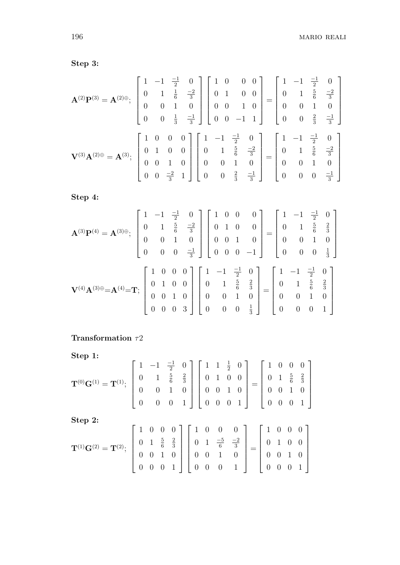**Step 3:**

$$
\mathbf{A}^{(2)}\mathbf{P}^{(3)} = \mathbf{A}^{(2)\oplus}; \begin{bmatrix} 1 & -1 & \frac{-1}{2} & 0 \\ 0 & 1 & \frac{1}{6} & \frac{-2}{3} \\ 0 & 0 & 1 & 0 \\ 0 & 0 & \frac{1}{3} & \frac{-1}{3} \end{bmatrix} \begin{bmatrix} 1 & 0 & 0 & 0 \\ 0 & 1 & 0 & 0 \\ 0 & 0 & 1 & 0 \\ 0 & 0 & -1 & 1 \end{bmatrix} = \begin{bmatrix} 1 & -1 & \frac{-1}{2} & 0 \\ 0 & 1 & \frac{5}{6} & \frac{-2}{3} \\ 0 & 0 & 1 & 0 \\ 0 & 0 & \frac{2}{3} & \frac{-1}{3} \end{bmatrix}
$$

$$
\mathbf{V}^{(3)}\mathbf{A}^{(2)\oplus} = \mathbf{A}^{(3)}; \begin{bmatrix} 1 & 0 & 0 & 0 \\ 0 & 1 & 0 & 0 \\ 0 & 0 & 1 & 0 \\ 0 & 0 & \frac{-2}{3} & 1 \end{bmatrix} \begin{bmatrix} 1 & -1 & \frac{-1}{2} & 0 \\ 0 & 1 & \frac{5}{6} & \frac{-2}{3} \\ 0 & 0 & 1 & 0 \\ 0 & 0 & \frac{2}{3} & \frac{-1}{3} \end{bmatrix} = \begin{bmatrix} 1 & -1 & \frac{-1}{2} & 0 \\ 0 & 1 & \frac{5}{6} & \frac{-2}{3} \\ 0 & 0 & 1 & 0 \\ 0 & 0 & 0 & \frac{-1}{3} \end{bmatrix}
$$

**Step 4:**

$$
\mathbf{A}^{(3)}\mathbf{P}^{(4)} = \mathbf{A}^{(3)\oplus}; \begin{bmatrix} 1 & -1 & \frac{-1}{2} & 0 \\ 0 & 1 & \frac{5}{6} & \frac{-2}{3} \\ 0 & 0 & 1 & 0 \\ 0 & 0 & 0 & \frac{-1}{3} \end{bmatrix} \begin{bmatrix} 1 & 0 & 0 & 0 \\ 0 & 1 & 0 & 0 \\ 0 & 0 & 1 & 0 \\ 0 & 0 & 0 & -1 \end{bmatrix} = \begin{bmatrix} 1 & -1 & \frac{-1}{2} & 0 \\ 0 & 1 & \frac{5}{6} & \frac{2}{3} \\ 0 & 0 & 1 & 0 \\ 0 & 0 & 0 & \frac{1}{3} \end{bmatrix}
$$

$$
\mathbf{V}^{(4)}\mathbf{A}^{(3)\oplus} = \mathbf{A}^{(4)} = \mathbf{T}; \begin{bmatrix} 1 & 0 & 0 & 0 \\ 0 & 1 & 0 & 0 \\ 0 & 0 & 1 & 0 \\ 0 & 0 & 0 & 3 \end{bmatrix} \begin{bmatrix} 1 & -1 & \frac{-1}{2} & 0 \\ 0 & 1 & \frac{5}{6} & \frac{2}{3} \\ 0 & 0 & 1 & 0 \\ 0 & 0 & 0 & \frac{1}{3} \end{bmatrix} = \begin{bmatrix} 1 & -1 & \frac{-1}{2} & 0 \\ 0 & 1 & \frac{5}{6} & \frac{2}{3} \\ 0 & 0 & 1 & 0 \\ 0 & 0 & 0 & 1 \end{bmatrix}
$$

# **Transformation** *τ*2

**Step 1:**

Step 1:  
\n
$$
\mathbf{T}^{(0)}\mathbf{G}^{(1)} = \mathbf{T}^{(1)}; \begin{bmatrix} 1 & -1 & \frac{-1}{2} & 0 \\ 0 & 1 & \frac{5}{6} & \frac{2}{3} \\ 0 & 0 & 1 & 0 \\ 0 & 0 & 0 & 1 \end{bmatrix} \begin{bmatrix} 1 & 1 & \frac{1}{2} & 0 \\ 0 & 1 & 0 & 0 \\ 0 & 0 & 1 & 0 \\ 0 & 0 & 0 & 1 \end{bmatrix} = \begin{bmatrix} 1 & 0 & 0 & 0 \\ 0 & 1 & \frac{5}{6} & \frac{2}{3} \\ 0 & 0 & 1 & 0 \\ 0 & 0 & 0 & 1 \end{bmatrix}
$$
\nStep 2:  
\n
$$
\mathbf{T}^{(1)}\mathbf{G}^{(2)} = \mathbf{T}^{(2)}; \begin{bmatrix} 1 & 0 & 0 & 0 \\ 0 & 1 & \frac{5}{6} & \frac{2}{3} \\ 0 & 0 & 1 & 0 \\ 0 & 0 & 0 & 1 \end{bmatrix} \begin{bmatrix} 1 & 0 & 0 & 0 \\ 0 & 1 & \frac{-5}{6} & \frac{-2}{3} \\ 0 & 0 & 1 & 0 \\ 0 & 0 & 0 & 1 \end{bmatrix} = \begin{bmatrix} 1 & 0 & 0 & 0 \\ 0 & 1 & 0 & 0 \\ 0 & 0 & 1 & 0 \\ 0 & 0 & 0 & 1 \end{bmatrix}
$$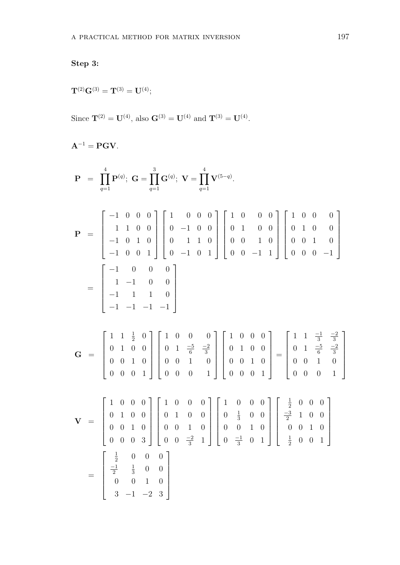# **Step 3:**

 $\mathbf{T}^{(2)}\mathbf{G}^{(3)} = \mathbf{T}^{(3)} = \mathbf{U}^{(4)};$ 

Since  $\mathbf{T}^{(2)} = \mathbf{U}^{(4)}$ , also  $\mathbf{G}^{(3)} = \mathbf{U}^{(4)}$  and  $\mathbf{T}^{(3)} = \mathbf{U}^{(4)}$ .

$$
\mathbf{A}^{-1} = \mathbf{PGV}.
$$

$$
\mathbf{P} = \prod_{q=1}^{4} \mathbf{P}^{(q)}; \mathbf{G} = \prod_{q=1}^{3} \mathbf{G}^{(q)}; \mathbf{V} = \prod_{q=1}^{4} \mathbf{V}^{(5-q)}.
$$
\n
$$
\mathbf{P} = \begin{bmatrix}\n-1 & 0 & 0 & 0 \\
1 & 1 & 0 & 0 \\
-1 & 0 & 1 & 0 \\
-1 & 0 & 1 & 0\n\end{bmatrix}\n\begin{bmatrix}\n1 & 0 & 0 & 0 \\
0 & -1 & 0 & 0 \\
0 & 1 & 1 & 0 \\
0 & -1 & 0 & 1\n\end{bmatrix}\n\begin{bmatrix}\n1 & 0 & 0 & 0 \\
0 & 1 & 0 & 0 \\
0 & 0 & 1 & 0 \\
0 & 0 & -1 & 1\n\end{bmatrix}\n\begin{bmatrix}\n1 & 0 & 0 & 0 \\
0 & 1 & 0 & 0 \\
0 & 0 & 1 & 0 \\
0 & 0 & -1 & 1\n\end{bmatrix}
$$
\n
$$
= \begin{bmatrix}\n-1 & 0 & 0 & 0 \\
1 & -1 & 0 & 0 \\
-1 & 1 & 1 & 0 \\
0 & 0 & 1 & 0 \\
0 & 0 & 0 & 1\n\end{bmatrix}\n\begin{bmatrix}\n1 & 0 & 0 & 0 \\
0 & 1 & \frac{-5}{6} & \frac{-2}{3} \\
0 & 1 & 0 & 0 \\
0 & 0 & 0 & 1\n\end{bmatrix}\n\begin{bmatrix}\n1 & 0 & 0 & 0 \\
0 & 1 & 0 & 0 \\
0 & 0 & 1 & 0 \\
0 & 0 & 0 & 1\n\end{bmatrix} = \begin{bmatrix}\n1 & 1 & \frac{-1}{3} & \frac{-2}{3} \\
0 & 1 & \frac{-5}{6} & \frac{-2}{3} \\
0 & 0 & 1 & 0 \\
0 & 0 & 1 & 0 \\
0 & 0 & 0 & 1\n\end{bmatrix}
$$
\n
$$
\mathbf{V} = \begin{bmatrix}\n1 & 0 & 0 & 0 \\
0 & 1 & 0 & 0 \\
0 & 1 & 0 & 0 \\
0 & 0 & 1 & 0 \\
0 & 0 & 0 & \frac{-2}{3} & 1\n\end{bmatrix}\n\begin{bmatrix}\n1 & 0 & 0 & 0 \\
0 & \frac{1}{3} & 0 & 0 \\
0 & 0 &
$$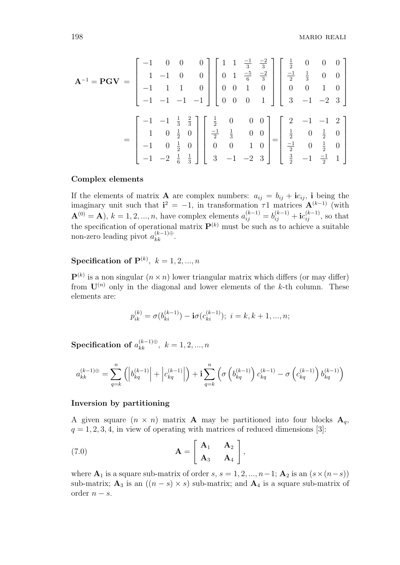$$
\mathbf{A}^{-1} = \mathbf{PGV} = \begin{bmatrix} -1 & 0 & 0 & 0 \\ 1 & -1 & 0 & 0 \\ -1 & 1 & 1 & 0 \\ -1 & -1 & -1 & -1 \end{bmatrix} \begin{bmatrix} 1 & 1 & \frac{-1}{3} & \frac{-2}{3} \\ 0 & 1 & \frac{-5}{6} & \frac{-2}{3} \\ 0 & 0 & 1 & 0 \\ 0 & 0 & 0 & 1 \end{bmatrix} \begin{bmatrix} \frac{1}{2} & 0 & 0 & 0 \\ \frac{-1}{2} & \frac{1}{3} & 0 & 0 \\ 0 & 0 & 1 & 0 \\ 3 & -1 & -2 & 3 \end{bmatrix}
$$

$$
= \begin{bmatrix} -1 & -1 & \frac{1}{3} & \frac{2}{3} \\ 1 & 0 & \frac{1}{2} & 0 \\ -1 & 0 & \frac{1}{2} & 0 \\ -1 & -2 & \frac{1}{6} & \frac{1}{3} \end{bmatrix} \begin{bmatrix} \frac{1}{2} & 0 & 0 & 0 \\ \frac{-1}{2} & \frac{1}{3} & 0 & 0 \\ 0 & 0 & 1 & 0 \\ 3 & -1 & -2 & 3 \end{bmatrix} = \begin{bmatrix} 2 & -1 & -1 & 2 \\ \frac{1}{2} & 0 & \frac{1}{2} & 0 \\ \frac{-1}{2} & 0 & \frac{1}{2} & 0 \\ \frac{-1}{2} & 0 & \frac{1}{2} & 0 \\ \frac{3}{2} & -1 & \frac{-1}{2} & 1 \end{bmatrix}
$$

#### **Complex elements**

If the elements of matrix **A** are complex numbers:  $a_{ij} = b_{ij} + ic_{ij}$ , i being the imaginary unit such that  $\mathbf{i}^2 = -1$ , in transformation  $\tau$ 1 matrices  $\mathbf{A}^{(k-1)}$  (with  $\mathbf{A}^{(0)} = \mathbf{A}$ ),  $k = 1, 2, ..., n$ , have complex elements  $a_{ij}^{(k-1)} = b_{ij}^{(k-1)} + i c_{ij}^{(k-1)}$ , so that the specification of operational matrix  $\mathbf{P}^{(k)}$  must be such as to achieve a suitable non-zero leading pivot  $a_{kk}^{(k-1)\oplus}$ .

## ${\bf Specification\,\, of }\,\, {\bf P}^{(k)},\,\, k=1,2,...,n$

 $\mathbf{P}^{(k)}$  is a non singular  $(n \times n)$  lower triangular matrix which differs (or may differ) from  $\mathbf{U}^{(n)}$  only in the diagonal and lower elements of the *k*-th column. These elements are:

$$
p_{ik}^{(k)} = \sigma(b_{ki}^{(k-1)}) - \mathbf{i}\sigma(c_{ki}^{(k-1)}); i = k, k+1, ..., n;
$$

 ${\bf Specification\,\, of}\,\, a^{(k-1)\oplus}_{kk},\,\, k=1,2,...,n$ 

$$
a_{kk}^{(k-1)\oplus} = \sum_{q=k}^{n} \left( \left| b_{kq}^{(k-1)} \right| + \left| c_{kq}^{(k-1)} \right| \right) + \mathbf{i} \sum_{q=k}^{n} \left( \sigma \left( b_{kq}^{(k-1)} \right) c_{kq}^{(k-1)} - \sigma \left( c_{kq}^{(k-1)} \right) b_{kq}^{(k-1)} \right)
$$

#### **Inversion by partitioning**

A given square  $(n \times n)$  matrix **A** may be partitioned into four blocks  $A_q$ ,  $q = 1, 2, 3, 4$ , in view of operating with matrices of reduced dimensions [3]:

(7.0) 
$$
\mathbf{A} = \begin{bmatrix} \mathbf{A}_1 & \mathbf{A}_2 \\ \mathbf{A}_3 & \mathbf{A}_4 \end{bmatrix},
$$

where  $\mathbf{A}_1$  is a square sub-matrix of order *s*,  $s = 1, 2, ..., n-1$ ;  $\mathbf{A}_2$  is an  $(s \times (n-s))$ sub-matrix;  $\mathbf{A}_3$  is an  $((n-s) \times s)$  sub-matrix; and  $\mathbf{A}_4$  is a square sub-matrix of order  $n - s$ .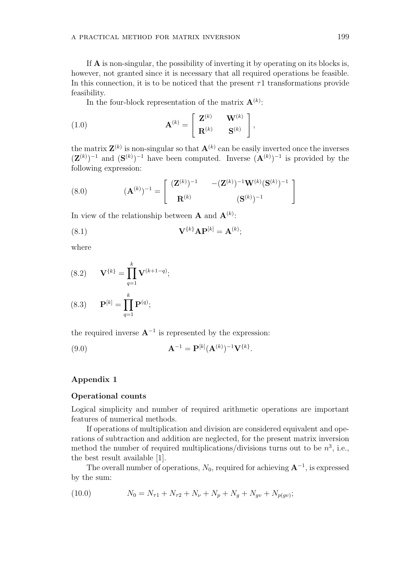If **A** is non-singular, the possibility of inverting it by operating on its blocks is, however, not granted since it is necessary that all required operations be feasible. In this connection, it is to be noticed that the present  $\tau$ 1 transformations provide feasibility.

In the four-block representation of the matrix  $\mathbf{A}^{(k)}$ :

(1.0) 
$$
\mathbf{A}^{(k)} = \begin{bmatrix} \mathbf{Z}^{(k)} & \mathbf{W}^{(k)} \\ \mathbf{R}^{(k)} & \mathbf{S}^{(k)} \end{bmatrix},
$$

the matrix  $\mathbf{Z}^{(k)}$  is non-singular so that  $\mathbf{A}^{(k)}$  can be easily inverted once the inverses  $({\bf Z}^{(k)})^{-1}$  and  $({\bf S}^{(k)})^{-1}$  have been computed. Inverse  $({\bf A}^{(k)})^{-1}$  is provided by the following expression:

(8.0) 
$$
(\mathbf{A}^{(k)})^{-1} = \begin{bmatrix} (\mathbf{Z}^{(k)})^{-1} & -(\mathbf{Z}^{(k)})^{-1}\mathbf{W}^{(k)}(\mathbf{S}^{(k)})^{-1} \\ \mathbf{R}^{(k)} & (\mathbf{S}^{(k)})^{-1} \end{bmatrix}
$$

In view of the relationship between **A** and  $\mathbf{A}^{(k)}$ :

$$
(\text{8.1}) \qquad \qquad \mathbf{V}^{\{k\}} \mathbf{A} \mathbf{P}^{[k]} = \mathbf{A}^{(k)};
$$

where

(8.2) 
$$
\mathbf{V}^{\{k\}} = \prod_{q=1}^{k} \mathbf{V}^{(k+1-q)};
$$

(8.3) 
$$
\mathbf{P}^{[k]} = \prod_{q=1}^{k} \mathbf{P}^{(q)};
$$

the required inverse **A***<sup>−</sup>*<sup>1</sup> is represented by the expression:

(9.0) 
$$
\mathbf{A}^{-1} = \mathbf{P}^{[k]} (\mathbf{A}^{(k)})^{-1} \mathbf{V}^{\{k\}}.
$$

# **Appendix 1**

#### **Operational counts**

Logical simplicity and number of required arithmetic operations are important features of numerical methods.

If operations of multiplication and division are considered equivalent and operations of subtraction and addition are neglected, for the present matrix inversion method the number of required multiplications/divisions turns out to be  $n^3$ , i.e., the best result available [1].

The overall number of operations,  $N_0$ , required for achieving  $\mathbf{A}^{-1}$ , is expressed by the sum:

(10.0) 
$$
N_0 = N_{\tau 1} + N_{\tau 2} + N_{\nu} + N_p + N_g + N_{gv} + N_{p(gv)};
$$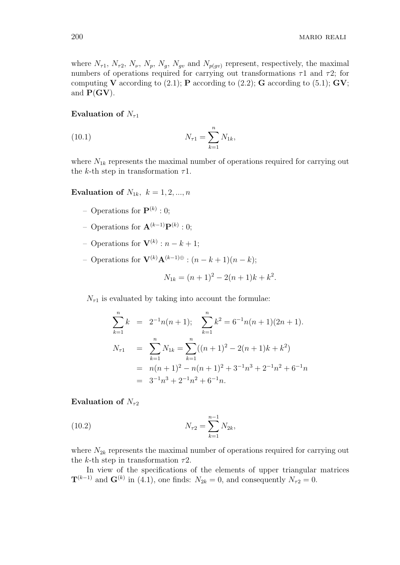where  $N_{\tau 1}$ ,  $N_{\tau 2}$ ,  $N_{\nu}$ ,  $N_{p}$ ,  $N_{g}$ ,  $N_{gv}$  and  $N_{p(gv)}$  represent, respectively, the maximal numbers of operations required for carrying out transformations *τ*1 and *τ*2; for computing **V** according to  $(2.1)$ ; **P** according to  $(2.2)$ ; **G** according to  $(5.1)$ ; **GV**; and  $P(GV)$ .

#### **Evaluation of**  $N_{\tau}$ <sup>1</sup>

(10.1) 
$$
N_{\tau 1} = \sum_{k=1}^{n} N_{1k},
$$

where  $N_{1k}$  represents the maximal number of operations required for carrying out the *k*-th step in transformation *τ*1.

#### **Evaluation of**  $N_{1k}$ ,  $k = 1, 2, ..., n$

- $-$  Operations for  $\mathbf{P}^{(k)}:0;$
- Operations for **A**(*k−*1)**P**(*k*) : 0;
- Operations for **V**(*k*) : *n − k* + 1;
- Operations for **V**(*k*)**A**(*k−*1)*<sup>⊕</sup>* : (*n − k* + 1)(*n − k*);

$$
N_{1k} = (n+1)^2 - 2(n+1)k + k^2.
$$

 $N_{\tau_1}$  is evaluated by taking into account the formulae:

$$
\sum_{k=1}^{n} k = 2^{-1}n(n+1); \quad \sum_{k=1}^{n} k^2 = 6^{-1}n(n+1)(2n+1).
$$
  
\n
$$
N_{\tau 1} = \sum_{k=1}^{n} N_{1k} = \sum_{k=1}^{n} ((n+1)^2 - 2(n+1)k + k^2)
$$
  
\n
$$
= n(n+1)^2 - n(n+1)^2 + 3^{-1}n^3 + 2^{-1}n^2 + 6^{-1}n
$$
  
\n
$$
= 3^{-1}n^3 + 2^{-1}n^2 + 6^{-1}n.
$$

#### **Evaluation of**  $N_{\tau^2}$

(10.2) 
$$
N_{\tau 2} = \sum_{k=1}^{n-1} N_{2k},
$$

where  $N_{2k}$  represents the maximal number of operations required for carrying out the *k*-th step in transformation *τ*2.

In view of the specifications of the elements of upper triangular matrices  $\mathbf{T}^{(k-1)}$  and  $\mathbf{G}^{(k)}$  in (4.1), one finds:  $N_{2k} = 0$ , and consequently  $N_{\tau 2} = 0$ .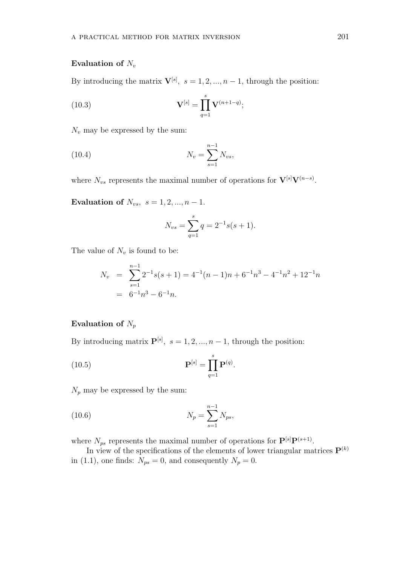#### **Evaluation of** *N<sup>v</sup>*

By introducing the matrix  $\mathbf{V}^{[s]}$ ,  $s = 1, 2, ..., n-1$ , through the position:

(10.3) 
$$
\mathbf{V}^{[s]} = \prod_{q=1}^{s} \mathbf{V}^{(n+1-q)};
$$

 $N_v$  may be expressed by the sum:

(10.4) 
$$
N_v = \sum_{s=1}^{n-1} N_{vs},
$$

where  $N_{vs}$  represents the maximal number of operations for  $\mathbf{V}^{[s]}\mathbf{V}^{(n-s)}$ .

**Evaluation of**  $N_{vs}$ ,  $s = 1, 2, ..., n - 1$ .

$$
N_{vs} = \sum_{q=1}^{s} q = 2^{-1}s(s+1).
$$

The value of  $N_v$  is found to be:

$$
N_v = \sum_{s=1}^{n-1} 2^{-1}s(s+1) = 4^{-1}(n-1)n + 6^{-1}n^3 - 4^{-1}n^2 + 12^{-1}n
$$
  
= 6<sup>-1</sup>n<sup>3</sup> - 6<sup>-1</sup>n.

## **Evaluation of** *N<sup>p</sup>*

By introducing matrix  $\mathbf{P}^{[s]}$ ,  $s = 1, 2, ..., n-1$ , through the position:

(10.5) 
$$
\mathbf{P}^{[s]} = \prod_{q=1}^{s} \mathbf{P}^{(q)}.
$$

 $N_p$  may be expressed by the sum:

(10.6) 
$$
N_p = \sum_{s=1}^{n-1} N_{ps},
$$

where  $N_{ps}$  represents the maximal number of operations for  $\mathbf{P}^{[s]}\mathbf{P}^{(s+1)}$ .

In view of the specifications of the elements of lower triangular matrices  $\mathbf{P}^{(k)}$ in (1.1), one finds:  $N_{ps} = 0$ , and consequently  $N_p = 0$ .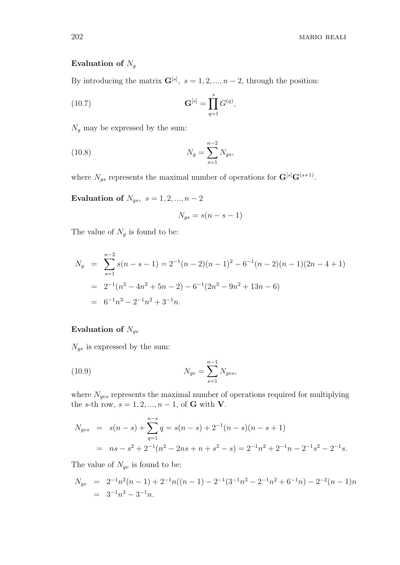# **Evaluation of** *N<sup>g</sup>*

By introducing the matrix  $\mathbf{G}^{[s]}$ ,  $s = 1, 2, ..., n-2$ , through the position:

(10.7) 
$$
\mathbf{G}^{[s]} = \prod_{q=1}^{s} G^{(q)},
$$

 $N_g$  may be expressed by the sum:

(10.8) 
$$
N_g = \sum_{s=1}^{n-2} N_{gs},
$$

where  $N_{gs}$  represents the maximal number of operations for  $\mathbf{G}^{[s]} \mathbf{G}^{(s+1)}$ .

**Evaluation of**  $N_{gs}$ ,  $s = 1, 2, ..., n - 2$ 

$$
N_{gs} = s(n - s - 1)
$$

The value of  $N_g$  is found to be:

$$
N_g = \sum_{s=1}^{n-2} s(n-s-1) = 2^{-1}(n-2)(n-1)^2 - 6^{-1}(n-2)(n-1)(2n-4+1)
$$
  
=  $2^{-1}(n^3 - 4n^2 + 5n - 2) - 6^{-1}(2n^3 - 9n^2 + 13n - 6)$   
=  $6^{-1}n^3 - 2^{-1}n^2 + 3^{-1}n$ .

## **Evaluation of** *Ngv*

*Ngv* is expressed by the sum:

(10.9) 
$$
N_{gv} = \sum_{s=1}^{n-1} N_{gvs},
$$

where  $N_{gvs}$  represents the maximal number of operations required for multiplying the *s*-th row,  $s = 1, 2, ..., n - 1$ , of **G** with **V**.

$$
N_{gvs} = s(n-s) + \sum_{q=1}^{n-s} q = s(n-s) + 2^{-1}(n-s)(n-s+1)
$$
  
=  $ns - s^2 + 2^{-1}(n^2 - 2ns + n + s^2 - s) = 2^{-1}n^2 + 2^{-1}n - 2^{-1}s^2 - 2^{-1}s$ .

The value of  $N_{qv}$  is found to be:

$$
N_{gv} = 2^{-1}n^2(n-1) + 2^{-1}n((n-1) - 2^{-1}(3^{-1}n^3 - 2^{-1}n^2 + 6^{-1}n) - 2^{-2}(n-1)n
$$
  
= 3<sup>-1</sup>n<sup>3</sup> - 3<sup>-1</sup>n.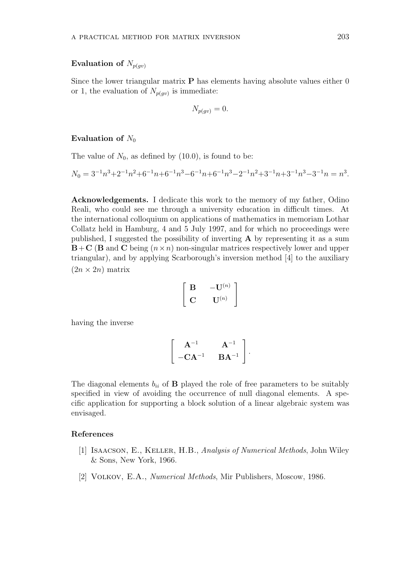#### **Evaluation of**  $N_{p(qv)}$

Since the lower triangular matrix **P** has elements having absolute values either 0 or 1, the evaluation of  $N_{p(gv)}$  is immediate:

$$
N_{p(gv)} = 0.
$$

#### **Evaluation of**  $N_0$

The value of  $N_0$ , as defined by  $(10.0)$ , is found to be:

$$
N_0 = 3^{-1}n^3 + 2^{-1}n^2 + 6^{-1}n + 6^{-1}n^3 - 6^{-1}n + 6^{-1}n^3 - 2^{-1}n^2 + 3^{-1}n + 3^{-1}n^3 - 3^{-1}n = n^3.
$$

**Acknowledgements.** I dedicate this work to the memory of my father, Odino Reali, who could see me through a university education in difficult times. At the international colloquium on applications of mathematics in memoriam Lothar Collatz held in Hamburg, 4 and 5 July 1997, and for which no proceedings were published, I suggested the possibility of inverting **A** by representing it as a sum  $\mathbf{B}+\mathbf{C}$  (**B** and **C** being  $(n\times n)$  non-singular matrices respectively lower and upper triangular), and by applying Scarborough's inversion method [4] to the auxiliary  $(2n \times 2n)$  matrix

$$
\left[ \begin{array}{cc} \mathbf{B} & -\mathbf{U}^{(n)} \\ \mathbf{C} & \mathbf{U}^{(n)} \end{array} \right]
$$

having the inverse

$$
\left[\begin{array}{cc} \mathbf{A}^{-1} & \mathbf{A}^{-1} \\ -\mathbf{C}\mathbf{A}^{-1} & \mathbf{B}\mathbf{A}^{-1} \end{array}\right].
$$

The diagonal elements  $b_{ii}$  of **B** played the role of free parameters to be suitably specified in view of avoiding the occurrence of null diagonal elements. A specific application for supporting a block solution of a linear algebraic system was envisaged.

#### **References**

- [1] Isaacson, E., Keller, H.B., *Analysis of Numerical Methods*, John Wiley & Sons, New York, 1966.
- [2] Volkov, E.A., *Numerical Methods*, Mir Publishers, Moscow, 1986.